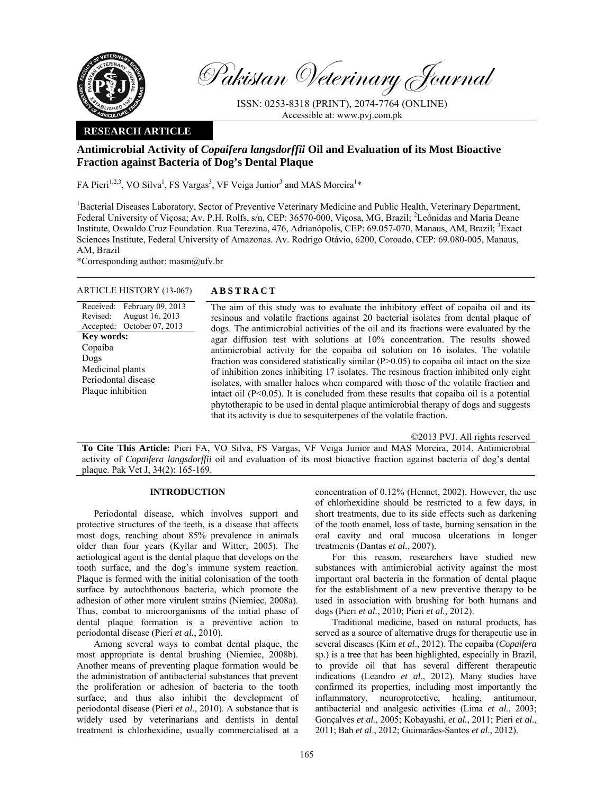

Pakistan Veterinary Journal

ISSN: 0253-8318 (PRINT), 2074-7764 (ONLINE) Accessible at: www.pvj.com.pk

# **RESEARCH ARTICLE**

# **Antimicrobial Activity of** *Copaifera langsdorffii* **Oil and Evaluation of its Most Bioactive Fraction against Bacteria of Dog's Dental Plaque**

FA Pieri<sup>1,2,3</sup>, VO Silva<sup>1</sup>, FS Vargas<sup>3</sup>, VF Veiga Junior<sup>3</sup> and MAS Moreira<sup>1</sup>\*

<sup>1</sup>Bacterial Diseases Laboratory, Sector of Preventive Veterinary Medicine and Public Health, Veterinary Department, Federal University of Viçosa; Av. P.H. Rolfs, s/n, CEP: 36570-000, Viçosa, MG, Brazil; <sup>2</sup>Leônidas and Maria Deane Institute, Oswaldo Cruz Foundation. Rua Terezina, 476, Adrianópolis, CEP: 69.057-070, Manaus, AM, Brazil; <sup>3</sup>Exact Sciences Institute, Federal University of Amazonas. Av. Rodrigo Otávio, 6200, Coroado, CEP: 69.080-005, Manaus, AM, Brazil

\*Corresponding author: masm@ufv.br

August 16, 2013 October 07, 2013

ARTICLE HISTORY (13-067) **ABSTRACT** 

Received: February 09, 2013

Revised: Accepted:

**Key words:**  Copaiba Dogs

Medicinal plants Periodontal disease Plaque inhibition

 The aim of this study was to evaluate the inhibitory effect of copaiba oil and its resinous and volatile fractions against 20 bacterial isolates from dental plaque of dogs. The antimicrobial activities of the oil and its fractions were evaluated by the agar diffusion test with solutions at 10% concentration. The results showed antimicrobial activity for the copaiba oil solution on 16 isolates. The volatile fraction was considered statistically similar  $(P>0.05)$  to copaiba oil intact on the size of inhibition zones inhibiting 17 isolates. The resinous fraction inhibited only eight isolates, with smaller haloes when compared with those of the volatile fraction and intact oil  $(P<0.05)$ . It is concluded from these results that copaiba oil is a potential phytotherapic to be used in dental plaque antimicrobial therapy of dogs and suggests that its activity is due to sesquiterpenes of the volatile fraction.

©2013 PVJ. All rights reserved

**To Cite This Article:** Pieri FA, VO Silva, FS Vargas, VF Veiga Junior and MAS Moreira, 2014. Antimicrobial activity of *Copaifera langsdorffii* oil and evaluation of its most bioactive fraction against bacteria of dog's dental plaque. Pak Vet J, 34(2): 165-169.

# **INTRODUCTION**

Periodontal disease, which involves support and protective structures of the teeth, is a disease that affects most dogs, reaching about 85% prevalence in animals older than four years (Kyllar and Witter, 2005). The aetiological agent is the dental plaque that develops on the tooth surface, and the dog's immune system reaction. Plaque is formed with the initial colonisation of the tooth surface by autochthonous bacteria, which promote the adhesion of other more virulent strains (Niemiec, 2008a). Thus, combat to microorganisms of the initial phase of dental plaque formation is a preventive action to periodontal disease (Pieri *et al.*, 2010).

Among several ways to combat dental plaque, the most appropriate is dental brushing (Niemiec, 2008b). Another means of preventing plaque formation would be the administration of antibacterial substances that prevent the proliferation or adhesion of bacteria to the tooth surface, and thus also inhibit the development of periodontal disease (Pieri *et al.*, 2010). A substance that is widely used by veterinarians and dentists in dental treatment is chlorhexidine, usually commercialised at a

concentration of 0.12% (Hennet, 2002). However, the use of chlorhexidine should be restricted to a few days, in short treatments, due to its side effects such as darkening of the tooth enamel, loss of taste, burning sensation in the oral cavity and oral mucosa ulcerations in longer treatments (Dantas *et al.*, 2007).

For this reason, researchers have studied new substances with antimicrobial activity against the most important oral bacteria in the formation of dental plaque for the establishment of a new preventive therapy to be used in association with brushing for both humans and dogs (Pieri *et al.*, 2010; Pieri *et al.,* 2012).

Traditional medicine, based on natural products, has served as a source of alternative drugs for therapeutic use in several diseases (Kim *et al*., 2012). The copaiba (*Copaifera*  sp.) is a tree that has been highlighted, especially in Brazil, to provide oil that has several different therapeutic indications (Leandro *et al*., 2012). Many studies have confirmed its properties, including most importantly the inflammatory, neuroprotective, healing, antitumour, antibacterial and analgesic activities (Lima *et al.*, 2003; Gonçalves *et al.*, 2005; Kobayashi, *et al.*, 2011; Pieri *et al.*, 2011; Bah *et al*., 2012; Guimarães-Santos *et al*., 2012).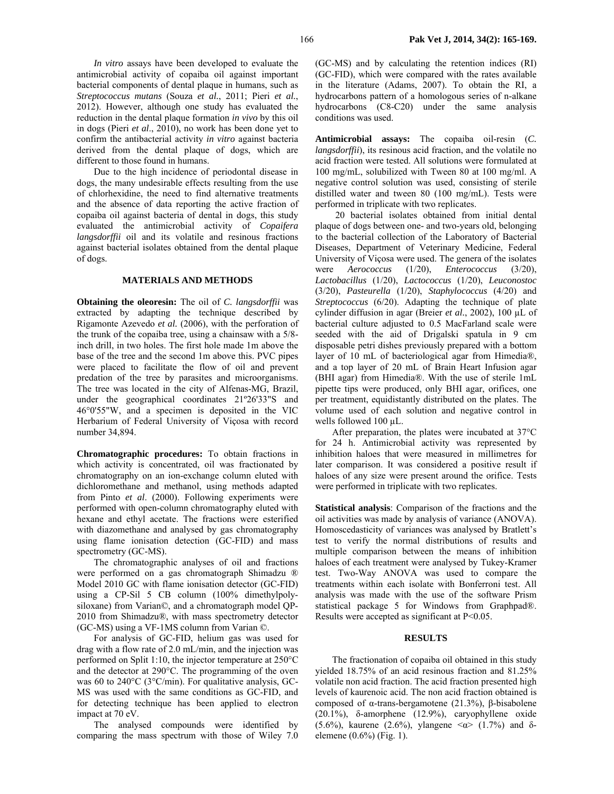*In vitro* assays have been developed to evaluate the antimicrobial activity of copaiba oil against important bacterial components of dental plaque in humans, such as *Streptococcus mutans* (Souza *et al.*, 2011; Pieri *et al.*, 2012). However, although one study has evaluated the reduction in the dental plaque formation *in vivo* by this oil in dogs (Pieri *et al*., 2010), no work has been done yet to confirm the antibacterial activity *in vitro* against bacteria derived from the dental plaque of dogs, which are different to those found in humans.

Due to the high incidence of periodontal disease in dogs, the many undesirable effects resulting from the use of chlorhexidine, the need to find alternative treatments and the absence of data reporting the active fraction of copaiba oil against bacteria of dental in dogs, this study evaluated the antimicrobial activity of *Copaifera langsdorffii* oil and its volatile and resinous fractions against bacterial isolates obtained from the dental plaque of dogs.

### **MATERIALS AND METHODS**

**Obtaining the oleoresin:** The oil of *C. langsdorffii* was extracted by adapting the technique described by Rigamonte Azevedo *et al.* (2006), with the perforation of the trunk of the copaiba tree, using a chainsaw with a 5/8 inch drill, in two holes. The first hole made 1m above the base of the tree and the second 1m above this. PVC pipes were placed to facilitate the flow of oil and prevent predation of the tree by parasites and microorganisms. The tree was located in the city of Alfenas-MG, Brazil, under the geographical coordinates 21º26'33"S and 46°0'55"W, and a specimen is deposited in the VIC Herbarium of Federal University of Viçosa with record number 34,894.

**Chromatographic procedures:** To obtain fractions in which activity is concentrated, oil was fractionated by chromatography on an ion-exchange column eluted with dichloromethane and methanol, using methods adapted from Pinto *et al*. (2000). Following experiments were performed with open-column chromatography eluted with hexane and ethyl acetate. The fractions were esterified with diazomethane and analysed by gas chromatography using flame ionisation detection (GC-FID) and mass spectrometry (GC-MS).

The chromatographic analyses of oil and fractions were performed on a gas chromatograph Shimadzu ® Model 2010 GC with flame ionisation detector (GC-FID) using a CP-Sil 5 CB column (100% dimethylpolysiloxane) from Varian©, and a chromatograph model QP-2010 from Shimadzu®, with mass spectrometry detector (GC-MS) using a VF-1MS column from Varian ©.

For analysis of GC-FID, helium gas was used for drag with a flow rate of 2.0 mL/min, and the injection was performed on Split 1:10, the injector temperature at 250°C and the detector at 290°C. The programming of the oven was 60 to 240°C (3°C/min). For qualitative analysis, GC-MS was used with the same conditions as GC-FID, and for detecting technique has been applied to electron impact at 70 eV.

The analysed compounds were identified by comparing the mass spectrum with those of Wiley 7.0 (GC-MS) and by calculating the retention indices (RI) (GC-FID), which were compared with the rates available in the literature (Adams, 2007). To obtain the RI, a hydrocarbons pattern of a homologous series of n-alkane hydrocarbons (C8-C20) under the same analysis conditions was used.

**Antimicrobial assays:** The copaiba oil-resin (*C. langsdorffii*), its resinous acid fraction, and the volatile no acid fraction were tested. All solutions were formulated at 100 mg/mL, solubilized with Tween 80 at 100 mg/ml. A negative control solution was used, consisting of sterile distilled water and tween 80 (100 mg/mL). Tests were performed in triplicate with two replicates.

20 bacterial isolates obtained from initial dental plaque of dogs between one- and two-years old, belonging to the bacterial collection of the Laboratory of Bacterial Diseases, Department of Veterinary Medicine, Federal University of Viçosa were used. The genera of the isolates were *Aerococcus* (1/20), *Enterococcus* (3/20), *Lactobacillus* (1/20), *Lactococcus* (1/20), *Leuconostoc* (3/20), *Pasteurella* (1/20), *Staphylococcus* (4/20) and *Streptococcus* (6/20). Adapting the technique of plate cylinder diffusion in agar (Breier *et al.*, 2002), 100 µL of bacterial culture adjusted to 0.5 MacFarland scale were seeded with the aid of Drigalski spatula in 9 cm disposable petri dishes previously prepared with a bottom layer of 10 mL of bacteriological agar from Himedia®, and a top layer of 20 mL of Brain Heart Infusion agar (BHI agar) from Himedia®. With the use of sterile 1mL pipette tips were produced, only BHI agar, orifices, one per treatment, equidistantly distributed on the plates. The volume used of each solution and negative control in wells followed 100 µL.

After preparation, the plates were incubated at 37°C for 24 h. Antimicrobial activity was represented by inhibition haloes that were measured in millimetres for later comparison. It was considered a positive result if haloes of any size were present around the orifice. Tests were performed in triplicate with two replicates.

**Statistical analysis**: Comparison of the fractions and the oil activities was made by analysis of variance (ANOVA). Homoscedasticity of variances was analysed by Bratlett's test to verify the normal distributions of results and multiple comparison between the means of inhibition haloes of each treatment were analysed by Tukey-Kramer test. Two-Way ANOVA was used to compare the treatments within each isolate with Bonferroni test. All analysis was made with the use of the software Prism statistical package 5 for Windows from Graphpad®. Results were accepted as significant at P<0.05.

## **RESULTS**

The fractionation of copaiba oil obtained in this study yielded 18.75% of an acid resinous fraction and 81.25% volatile non acid fraction. The acid fraction presented high levels of kaurenoic acid. The non acid fraction obtained is composed of α-trans-bergamotene (21.3%), β-bisabolene (20.1%), δ-amorphene (12.9%), caryophyllene oxide (5.6%), kaurene (2.6%), ylangene  $\langle \omega \rangle$  (1.7%) and  $\delta$ elemene (0.6%) (Fig. 1).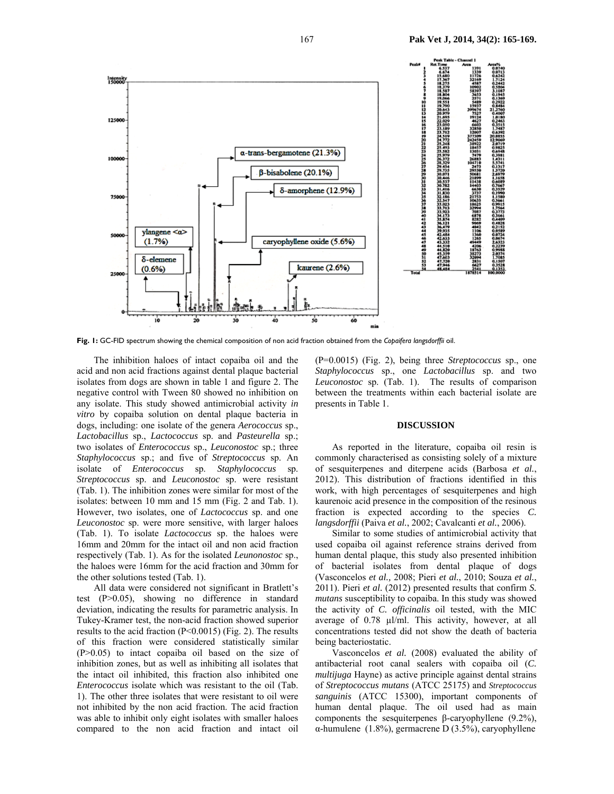

**Fig. 1:** GC-FID spectrum showing the chemical composition of non acid fraction obtained from the *Copaifera langsdorffii* oil.

The inhibition haloes of intact copaiba oil and the acid and non acid fractions against dental plaque bacterial isolates from dogs are shown in table 1 and figure 2. The negative control with Tween 80 showed no inhibition on any isolate. This study showed antimicrobial activity *in vitro* by copaiba solution on dental plaque bacteria in dogs, including: one isolate of the genera *Aerococcus* sp., *Lactobacillus* sp., *Lactococcus* sp. and *Pasteurella* sp.; two isolates of *Enterococcus* sp., *Leuconostoc* sp.; three *Staphylococcus* sp.; and five of *Streptococcus* sp. An isolate of *Enterococcus* sp. *Staphylococcus* sp. *Streptococcus* sp. and *Leuconostoc* sp. were resistant (Tab. 1). The inhibition zones were similar for most of the isolates: between 10 mm and 15 mm (Fig. 2 and Tab. 1). However, two isolates, one of *Lactococcus* sp. and one *Leuconostoc* sp. were more sensitive, with larger haloes (Tab. 1). To isolate *Lactococcus* sp. the haloes were 16mm and 20mm for the intact oil and non acid fraction respectively (Tab. 1). As for the isolated *Leunonostoc* sp., the haloes were 16mm for the acid fraction and 30mm for the other solutions tested (Tab. 1).

All data were considered not significant in Bratlett's test (P>0.05), showing no difference in standard deviation, indicating the results for parametric analysis. In Tukey-Kramer test, the non-acid fraction showed superior results to the acid fraction (P<0.0015) (Fig. 2). The results of this fraction were considered statistically similar  $(P>0.05)$  to intact copaiba oil based on the size of inhibition zones, but as well as inhibiting all isolates that the intact oil inhibited, this fraction also inhibited one *Enterococcus* isolate which was resistant to the oil (Tab. 1). The other three isolates that were resistant to oil were not inhibited by the non acid fraction. The acid fraction was able to inhibit only eight isolates with smaller haloes compared to the non acid fraction and intact oil

(P=0.0015) (Fig. 2), being three *Streptococcus* sp., one *Staphylococcus* sp., one *Lactobacillus* sp. and two *Leuconostoc* sp. (Tab. 1). The results of comparison between the treatments within each bacterial isolate are presents in Table 1.

#### **DISCUSSION**

As reported in the literature, copaiba oil resin is commonly characterised as consisting solely of a mixture of sesquiterpenes and diterpene acids (Barbosa *et al.*, 2012). This distribution of fractions identified in this work, with high percentages of sesquiterpenes and high kaurenoic acid presence in the composition of the resinous fraction is expected according to the species *C. langsdorffii* (Paiva *et al.*, 2002; Cavalcanti *et al.*, 2006).

Similar to some studies of antimicrobial activity that used copaiba oil against reference strains derived from human dental plaque, this study also presented inhibition of bacterial isolates from dental plaque of dogs (Vasconcelos *et al.,* 2008; Pieri *et al.*, 2010; Souza *et al.*, 2011). Pieri *et al.* (2012) presented results that confirm *S. mutans* susceptibility to copaiba. In this study was showed the activity of *C. officinalis* oil tested, with the MIC average of 0.78 µl/ml. This activity, however, at all concentrations tested did not show the death of bacteria being bacteriostatic.

Vasconcelos *et al.* (2008) evaluated the ability of antibacterial root canal sealers with copaiba oil (*C. multijuga* Hayne) as active principle against dental strains of *Streptococcus mutans* (ATCC 25175) and *Streptococcus sanguinis* (ATCC 15300), important components of human dental plaque. The oil used had as main components the sesquiterpenes β-caryophyllene (9.2%), α-humulene (1.8%), germacrene D (3.5%), caryophyllene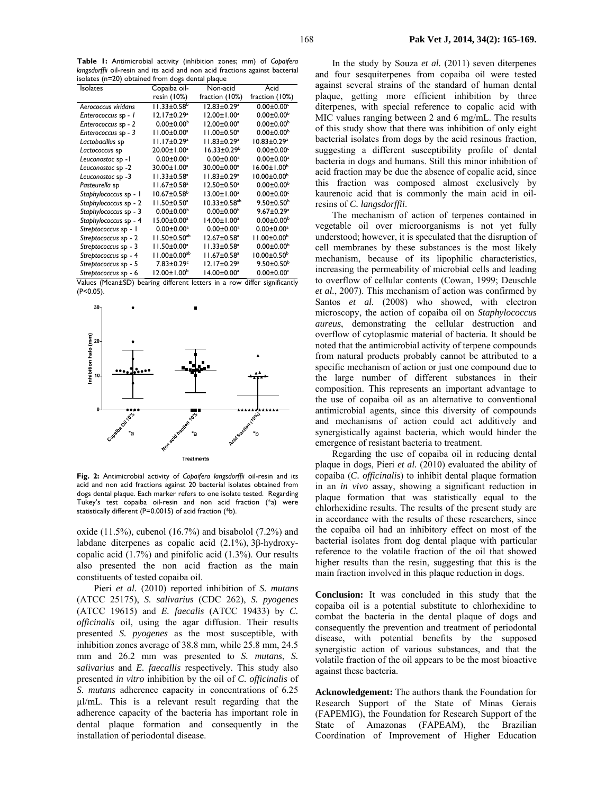**Table 1:** Antimicrobial activity (inhibition zones; mm) of *Copaifera langsdorffii* oil-resin and its acid and non acid fractions against bacterial isolates (n=20) obtained from dogs dental plaque

| <b>Isolates</b>                      | Copaiba oil-                    | Non-acid                       | Acid                                                         |
|--------------------------------------|---------------------------------|--------------------------------|--------------------------------------------------------------|
|                                      | resin (10%)                     | fraction (10%)                 | fraction (10%)                                               |
| Aerococcus viridans                  | $11.33 \pm 0.58$ <sup>b</sup>   | $12.83 \pm 0.29^a$             | $0.00 \pm 0.00$ c                                            |
| Enterococcus sp - I                  | $12.17 \pm 0.29^a$              | $12.00 \pm 1.00^a$             | $0.00 \pm 0.00^b$                                            |
| Enterococcus sp - 2                  | $0.00 \pm 0.00^{\rm b}$         | $12.00 \pm 0.00^a$             | $0.00 \pm 0.00^b$                                            |
| Enterococcus sp - 3                  | $11.00 \pm 0.00^a$              | $11.00 \pm 0.50^a$             | $0.00 \pm 0.00^b$                                            |
| Lactobacillus sp                     | 11.17±0.29 <sup>a</sup>         | $11.83 \pm 0.29^a$             | $10.83 \pm 0.29^a$                                           |
| Lactococcus sp                       | 20.00±1.00 <sup>a</sup>         | $16.33 \pm 0.29^b$             | $0.00 \pm 0.00$ <sup>c</sup>                                 |
| Leuconostoc sp - I                   | $0.00 \pm 0.00$ <sup>a</sup>    | $0.00 \pm 0.00$ <sup>a</sup>   | $0.00 \pm 0.00^a$                                            |
| Leuconostoc sp -2                    | 30.00±1.00 <sup>a</sup>         | 30.00±0.00 <sup>a</sup>        | $16.00 \pm 1.00^b$                                           |
| Leuconostoc sp -3                    | $11.33 \pm 0.58^a$              | $11.83 \pm 0.29^a$             | $10.00 \pm 0.00^{\circ}$                                     |
| Pasteurella sp                       | $11.67 \pm 0.58$ <sup>a</sup>   | $12.50 \pm 0.50^a$             | $0.00 \pm 0.00^b$                                            |
| Staphylococcus sp - I                | $10.67 \pm 0.58$ <sup>b</sup>   | $13.00 \pm 1.00^a$             | $0.00 \pm 0.00$ <sup>c</sup>                                 |
| Staphylococcus sp - 2                | $11.50 \pm 0.50^a$              | $10.33 \pm 0.58$ <sup>ab</sup> | $9.50 \pm 0.50^{\circ}$                                      |
| Staphylococcus sp - 3                | $0.00 \pm 0.00^{\rm b}$         | $0.00 \pm 0.00^{\rm b}$        | $9.67 \pm 0.29$ <sup>a</sup>                                 |
| Staphylococcus sp - 4                | $15.00 \pm 0.00^a$              | $14.00 \pm 1.00^a$             | $0.00 \pm 0.00^b$                                            |
| Streptococcus sp - I                 | $0.00 \pm 0.00^a$               | $0.00 \pm 0.00^a$              | $0.00 \pm 0.00$ <sup>a</sup>                                 |
| Streptococcus sp - 2                 | $11.50 \pm 0.50$ <sup>ab</sup>  | $12.67 \pm 0.58$ <sup>a</sup>  | $11.00 \pm 0.00^{\circ}$                                     |
| Streptococcus sp - 3                 | $11.50 \pm 0.00^a$              | $11.33 \pm 0.58$ <sup>a</sup>  | $0.00 \pm 0.00^b$                                            |
| Streptococcus sp - 4                 | $11.00 \pm 0.00^{ab}$           | $11.67 \pm 0.58$ <sup>a</sup>  | $10.00 \pm 0.50^{\circ}$                                     |
| Streptococcus sp - 5                 | 7.83±0.29c                      | 12.17±0.29 <sup>a</sup>        | $9.50 \pm 0.50^{\circ}$                                      |
| Streptococcus sp - 6<br>$\mathbf{v}$ | 12.00±1.00 <sup>b</sup><br>1.66 | $14.00 \pm 0.00^a$             | $0.00 \pm 0.00$ <sup>c</sup><br>1.66<br>$\sim$ $\sim$ $\sim$ |

Values (Mean±SD) bearing different letters in a row differ significantly (P<0.05).



**Fig. 2:** Antimicrobial activity of *Copaifera langsdorffii* oil-resin and its acid and non acid fractions against 20 bacterial isolates obtained from dogs dental plaque. Each marker refers to one isolate tested. Regarding Tukey's test copaiba oil-resin and non acid fraction (\*a) were statistically different (P=0.0015) of acid fraction (\*b).

oxide  $(11.5\%)$ , cubenol  $(16.7\%)$  and bisabolol  $(7.2\%)$  and labdane diterpenes as copalic acid (2.1%), 3β-hydroxycopalic acid (1.7%) and pinifolic acid (1.3%). Our results also presented the non acid fraction as the main constituents of tested copaiba oil.

Pieri *et al.* (2010) reported inhibition of *S. mutans*  (ATCC 25175), *S. salivarius* (CDC 262), *S. pyogenes* (ATCC 19615) and *E. faecalis* (ATCC 19433) by *C. officinalis* oil, using the agar diffusion. Their results presented *S. pyogenes* as the most susceptible, with inhibition zones average of 38.8 mm, while 25.8 mm, 24.5 mm and 26.2 mm was presented to *S. mutans*, *S. salivarius* and *E. faecallis* respectively. This study also presented *in vitro* inhibition by the oil of *C. officinalis* of *S. mutans* adherence capacity in concentrations of 6.25 µl/mL. This is a relevant result regarding that the adherence capacity of the bacteria has important role in dental plaque formation and consequently in the installation of periodontal disease.

In the study by Souza *et al.* (2011) seven diterpenes and four sesquiterpenes from copaiba oil were tested against several strains of the standard of human dental plaque, getting more efficient inhibition by three diterpenes, with special reference to copalic acid with MIC values ranging between 2 and 6 mg/mL. The results of this study show that there was inhibition of only eight bacterial isolates from dogs by the acid resinous fraction, suggesting a different susceptibility profile of dental bacteria in dogs and humans. Still this minor inhibition of acid fraction may be due the absence of copalic acid, since this fraction was composed almost exclusively by kaurenoic acid that is commonly the main acid in oilresins of *C. langsdorffii*.

The mechanism of action of terpenes contained in vegetable oil over microorganisms is not yet fully understood; however, it is speculated that the disruption of cell membranes by these substances is the most likely mechanism, because of its lipophilic characteristics, increasing the permeability of microbial cells and leading to overflow of cellular contents (Cowan, 1999; Deuschle *et al.*, 2007). This mechanism of action was confirmed by Santos *et al.* (2008) who showed, with electron microscopy, the action of copaiba oil on *Staphylococcus aureus*, demonstrating the cellular destruction and overflow of cytoplasmic material of bacteria. It should be noted that the antimicrobial activity of terpene compounds from natural products probably cannot be attributed to a specific mechanism of action or just one compound due to the large number of different substances in their composition. This represents an important advantage to the use of copaiba oil as an alternative to conventional antimicrobial agents, since this diversity of compounds and mechanisms of action could act additively and synergistically against bacteria, which would hinder the emergence of resistant bacteria to treatment.

Regarding the use of copaiba oil in reducing dental plaque in dogs, Pieri *et al.* (2010) evaluated the ability of copaiba (*C. officinalis*) to inhibit dental plaque formation in an *in vivo* assay, showing a significant reduction in plaque formation that was statistically equal to the chlorhexidine results. The results of the present study are in accordance with the results of these researchers, since the copaiba oil had an inhibitory effect on most of the bacterial isolates from dog dental plaque with particular reference to the volatile fraction of the oil that showed higher results than the resin, suggesting that this is the main fraction involved in this plaque reduction in dogs.

**Conclusion:** It was concluded in this study that the copaiba oil is a potential substitute to chlorhexidine to combat the bacteria in the dental plaque of dogs and consequently the prevention and treatment of periodontal disease, with potential benefits by the supposed synergistic action of various substances, and that the volatile fraction of the oil appears to be the most bioactive against these bacteria.

**Acknowledgement:** The authors thank the Foundation for Research Support of the State of Minas Gerais (FAPEMIG), the Foundation for Research Support of the State of Amazonas (FAPEAM), the Brazilian Coordination of Improvement of Higher Education